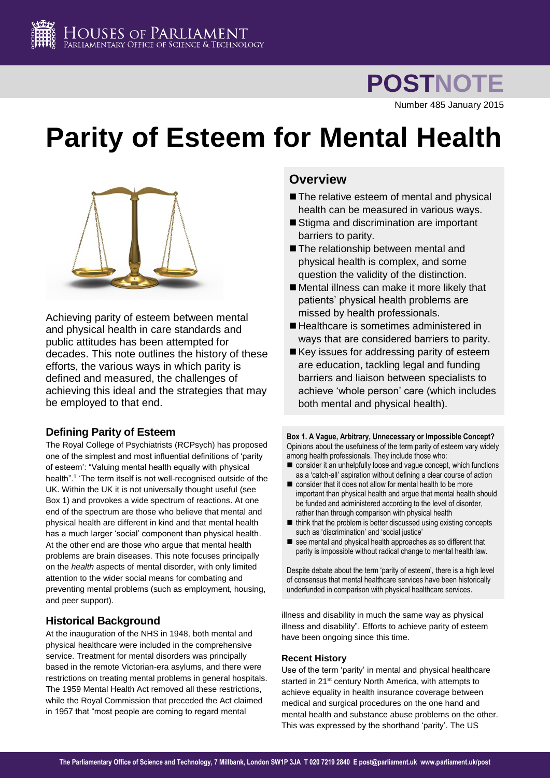

**POSTNOTE**

Number 485 January 2015

# **Parity of Esteem for Mental Health**



Achieving parity of esteem between mental and physical health in care standards and public attitudes has been attempted for decades. This note outlines the history of these efforts, the various ways in which parity is defined and measured, the challenges of achieving this ideal and the strategies that may be employed to that end.

## **Defining Parity of Esteem**

The Royal College of Psychiatrists (RCPsych) has proposed one of the simplest and most influential definitions of 'parity of esteem': "Valuing mental health equally with physical health".<sup>1</sup> 'The term itself is not well-recognised outside of the UK. Within the UK it is not universally thought useful (see Box 1) and provokes a wide spectrum of reactions. At one end of the spectrum are those who believe that mental and physical health are different in kind and that mental health has a much larger 'social' component than physical health. At the other end are those who argue that mental health problems are brain diseases. This note focuses principally on the *health* aspects of mental disorder, with only limited attention to the wider social means for combating and preventing mental problems (such as employment, housing, and peer support).

## **Historical Background**

At the inauguration of the NHS in 1948, both mental and physical healthcare were included in the comprehensive service. Treatment for mental disorders was principally based in the remote Victorian-era asylums, and there were restrictions on treating mental problems in general hospitals. The 1959 Mental Health Act removed all these restrictions, while the Royal Commission that preceded the Act claimed in 1957 that "most people are coming to regard mental

# **Overview**

- The relative esteem of mental and physical health can be measured in various ways.
- Stigma and discrimination are important barriers to parity.
- The relationship between mental and physical health is complex, and some question the validity of the distinction.
- Mental illness can make it more likely that patients' physical health problems are missed by health professionals.
- Healthcare is sometimes administered in ways that are considered barriers to parity.
- $\blacksquare$  Key issues for addressing parity of esteem are education, tackling legal and funding barriers and liaison between specialists to achieve 'whole person' care (which includes both mental and physical health).

**Box 1. A Vague, Arbitrary, Unnecessary or Impossible Concept?** Opinions about the usefulness of the term parity of esteem vary widely among health professionals. They include those who:

- consider it an unhelpfully loose and vague concept, which functions as a 'catch-all' aspiration without defining a clear course of action
- consider that it does not allow for mental health to be more important than physical health and argue that mental health should be funded and administered according to the level of disorder, rather than through comparison with physical health
- $\blacksquare$  think that the problem is better discussed using existing concepts such as 'discrimination' and 'social justice'
- see mental and physical health approaches as so different that parity is impossible without radical change to mental health law.

Despite debate about the term 'parity of esteem', there is a high level of consensus that mental healthcare services have been historically underfunded in comparison with physical healthcare services.

illness and disability in much the same way as physical illness and disability". Efforts to achieve parity of esteem have been ongoing since this time.

## **Recent History**

Use of the term 'parity' in mental and physical healthcare started in 21<sup>st</sup> century North America, with attempts to achieve equality in health insurance coverage between medical and surgical procedures on the one hand and mental health and substance abuse problems on the other. This was expressed by the shorthand 'parity'. The US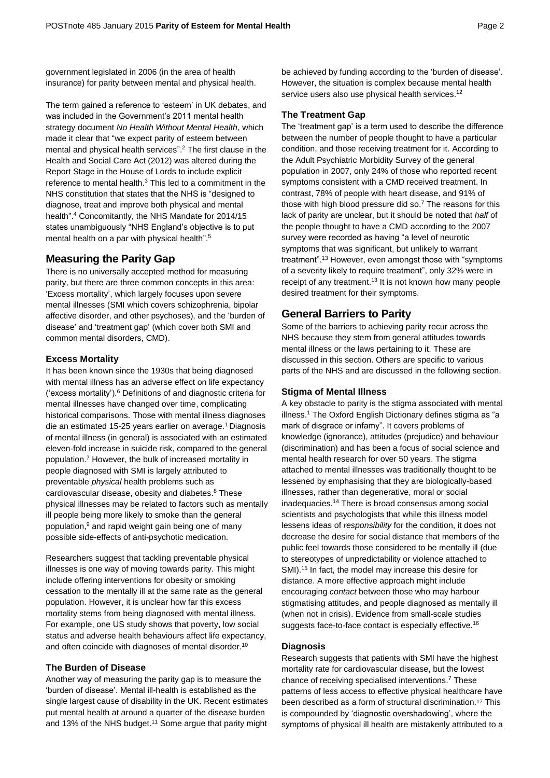government legislated in 2006 (in the area of health insurance) for parity between mental and physical health.

The term gained a reference to 'esteem' in UK debates, and was included in the Government's 2011 mental health strategy document *No Health Without Mental Health*, which made it clear that "we expect parity of esteem between mental and physical health services".<sup>2</sup> The first clause in the Health and Social Care Act (2012) was altered during the Report Stage in the House of Lords to include explicit reference to mental health.<sup>3</sup> This led to a commitment in the NHS constitution that states that the NHS is "designed to diagnose, treat and improve both physical and mental health". <sup>4</sup> Concomitantly, the NHS Mandate for 2014/15 states unambiguously "NHS England's objective is to put mental health on a par with physical health". 5

## **Measuring the Parity Gap**

There is no universally accepted method for measuring parity, but there are three common concepts in this area: 'Excess mortality', which largely focuses upon severe mental illnesses (SMI which covers schizophrenia, bipolar affective disorder, and other psychoses), and the 'burden of disease' and 'treatment gap' (which cover both SMI and common mental disorders, CMD).

## **Excess Mortality**

It has been known since the 1930s that being diagnosed with mental illness has an adverse effect on life expectancy ('excess mortality').<sup>6</sup> Definitions of and diagnostic criteria for mental illnesses have changed over time, complicating historical comparisons. Those with mental illness diagnoses die an estimated 15-25 years earlier on average. <sup>1</sup> Diagnosis of mental illness (in general) is associated with an estimated eleven-fold increase in suicide risk, compared to the general population.<sup>7</sup> However, the bulk of increased mortality in people diagnosed with SMI is largely attributed to preventable *physical* health problems such as cardiovascular disease, obesity and diabetes. <sup>8</sup> These physical illnesses may be related to factors such as mentally ill people being more likely to smoke than the general population, <sup>9</sup> and rapid weight gain being one of many possible side-effects of anti-psychotic medication.

Researchers suggest that tackling preventable physical illnesses is one way of moving towards parity. This might include offering interventions for obesity or smoking cessation to the mentally ill at the same rate as the general population. However, it is unclear how far this excess mortality stems from being diagnosed with mental illness. For example, one US study shows that poverty, low social status and adverse health behaviours affect life expectancy, and often coincide with diagnoses of mental disorder.<sup>10</sup>

## **The Burden of Disease**

Another way of measuring the parity gap is to measure the 'burden of disease'. Mental ill-health is established as the single largest cause of disability in the UK. Recent estimates put mental health at around a quarter of the disease burden and 13% of the NHS budget.<sup>11</sup> Some argue that parity might

be achieved by funding according to the 'burden of disease'. However, the situation is complex because mental health service users also use physical health services.<sup>12</sup>

## **The Treatment Gap**

The 'treatment gap' is a term used to describe the difference between the number of people thought to have a particular condition, and those receiving treatment for it. According to the Adult Psychiatric Morbidity Survey of the general population in 2007, only 24% of those who reported recent symptoms consistent with a CMD received treatment. In contrast, 78% of people with heart disease, and 91% of those with high blood pressure did so. <sup>7</sup> The reasons for this lack of parity are unclear, but it should be noted that *half* of the people thought to have a CMD according to the 2007 survey were recorded as having "a level of neurotic symptoms that was significant, but unlikely to warrant treatment". <sup>13</sup> However, even amongst those with "symptoms of a severity likely to require treatment", only 32% were in receipt of any treatment.<sup>13</sup> It is not known how many people desired treatment for their symptoms.

## **General Barriers to Parity**

Some of the barriers to achieving parity recur across the NHS because they stem from general attitudes towards mental illness or the laws pertaining to it. These are discussed in this section. Others are specific to various parts of the NHS and are discussed in the following section.

## **Stigma of Mental Illness**

A key obstacle to parity is the stigma associated with mental illness.<sup>1</sup> The Oxford English Dictionary defines stigma as "a mark of disgrace or infamy". It covers problems of knowledge (ignorance), attitudes (prejudice) and behaviour (discrimination) and has been a focus of social science and mental health research for over 50 years. The stigma attached to mental illnesses was traditionally thought to be lessened by emphasising that they are biologically-based illnesses, rather than degenerative, moral or social inadequacies.<sup>14</sup> There is broad consensus among social scientists and psychologists that while this illness model lessens ideas of *responsibility* for the condition, it does not decrease the desire for social distance that members of the public feel towards those considered to be mentally ill (due to stereotypes of unpredictability or violence attached to SMI).<sup>15</sup> In fact, the model may increase this desire for distance. A more effective approach might include encouraging *contact* between those who may harbour stigmatising attitudes, and people diagnosed as mentally ill (when not in crisis). Evidence from small-scale studies suggests face-to-face contact is especially effective.<sup>16</sup>

## **Diagnosis**

Research suggests that patients with SMI have the highest mortality rate for cardiovascular disease, but the lowest chance of receiving specialised interventions.<sup>7</sup> These patterns of less access to effective physical healthcare have been described as a form of structural discrimination.<sup>17</sup> This is compounded by 'diagnostic overshadowing', where the symptoms of physical ill health are mistakenly attributed to a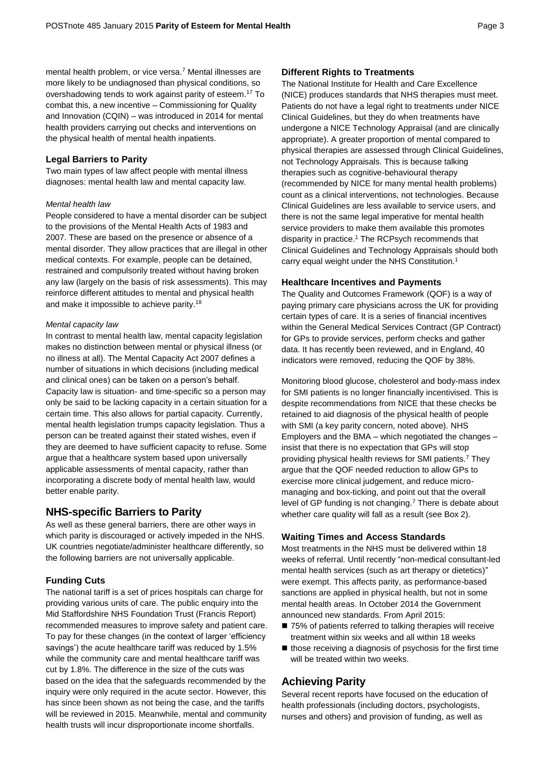mental health problem, or vice versa. <sup>7</sup> Mental illnesses are more likely to be undiagnosed than physical conditions, so overshadowing tends to work against parity of esteem. <sup>17</sup> To combat this, a new incentive – Commissioning for Quality and Innovation (CQIN) – was introduced in 2014 for mental health providers carrying out checks and interventions on the physical health of mental health inpatients.

## **Legal Barriers to Parity**

Two main types of law affect people with mental illness diagnoses: mental health law and mental capacity law.

#### *Mental health law*

People considered to have a mental disorder can be subject to the provisions of the Mental Health Acts of 1983 and 2007. These are based on the presence or absence of a mental disorder. They allow practices that are illegal in other medical contexts. For example, people can be detained, restrained and compulsorily treated without having broken any law (largely on the basis of risk assessments). This may reinforce different attitudes to mental and physical health and make it impossible to achieve parity.<sup>18</sup>

#### *Mental capacity law*

In contrast to mental health law, mental capacity legislation makes no distinction between mental or physical illness (or no illness at all). The Mental Capacity Act 2007 defines a number of situations in which decisions (including medical and clinical ones) can be taken on a person's behalf. Capacity law is situation- and time-specific so a person may only be said to be lacking capacity in a certain situation for a certain time. This also allows for partial capacity. Currently, mental health legislation trumps capacity legislation. Thus a person can be treated against their stated wishes, even if they are deemed to have sufficient capacity to refuse. Some argue that a healthcare system based upon universally applicable assessments of mental capacity, rather than incorporating a discrete body of mental health law, would better enable parity.

## **NHS-specific Barriers to Parity**

As well as these general barriers, there are other ways in which parity is discouraged or actively impeded in the NHS. UK countries negotiate/administer healthcare differently, so the following barriers are not universally applicable.

## **Funding Cuts**

The national tariff is a set of prices hospitals can charge for providing various units of care. The public enquiry into the Mid Staffordshire NHS Foundation Trust (Francis Report) recommended measures to improve safety and patient care. To pay for these changes (in the context of larger 'efficiency savings') the acute healthcare tariff was reduced by 1.5% while the community care and mental healthcare tariff was cut by 1.8%. The difference in the size of the cuts was based on the idea that the safeguards recommended by the inquiry were only required in the acute sector. However, this has since been shown as not being the case, and the tariffs will be reviewed in 2015. Meanwhile, mental and community health trusts will incur disproportionate income shortfalls.

## **Different Rights to Treatments**

The National Institute for Health and Care Excellence (NICE) produces standards that NHS therapies must meet. Patients do not have a legal right to treatments under NICE Clinical Guidelines, but they do when treatments have undergone a NICE Technology Appraisal (and are clinically appropriate). A greater proportion of mental compared to physical therapies are assessed through Clinical Guidelines, not Technology Appraisals. This is because talking therapies such as cognitive-behavioural therapy (recommended by NICE for many mental health problems) count as a clinical interventions, not technologies. Because Clinical Guidelines are less available to service users, and there is not the same legal imperative for mental health service providers to make them available this promotes disparity in practice. <sup>1</sup> The RCPsych recommends that Clinical Guidelines and Technology Appraisals should both carry equal weight under the NHS Constitution.<sup>1</sup>

## **Healthcare Incentives and Payments**

The Quality and Outcomes Framework (QOF) is a way of paying primary care physicians across the UK for providing certain types of care. It is a series of financial incentives within the General Medical Services Contract (GP Contract) for GPs to provide services, perform checks and gather data. It has recently been reviewed, and in England, 40 indicators were removed, reducing the QOF by 38%.

Monitoring blood glucose, cholesterol and body-mass index for SMI patients is no longer financially incentivised. This is despite recommendations from NICE that these checks be retained to aid diagnosis of the physical health of people with SMI (a key parity concern, noted above). NHS Employers and the BMA – which negotiated the changes – insist that there is no expectation that GPs will stop providing physical health reviews for SMI patients.<sup>7</sup> They argue that the QOF needed reduction to allow GPs to exercise more clinical judgement, and reduce micromanaging and box-ticking, and point out that the overall level of GP funding is not changing.<sup>7</sup> There is debate about whether care quality will fall as a result (see Box 2).

## **Waiting Times and Access Standards**

Most treatments in the NHS must be delivered within 18 weeks of referral. Until recently "non-medical consultant-led mental health services (such as art therapy or dietetics)" were exempt. This affects parity, as performance-based sanctions are applied in physical health, but not in some mental health areas. In October 2014 the Government announced new standards. From April 2015:

- 75% of patients referred to talking therapies will receive treatment within six weeks and all within 18 weeks
- $\blacksquare$  those receiving a diagnosis of psychosis for the first time will be treated within two weeks.

## **Achieving Parity**

Several recent reports have focused on the education of health professionals (including doctors, psychologists, nurses and others) and provision of funding, as well as